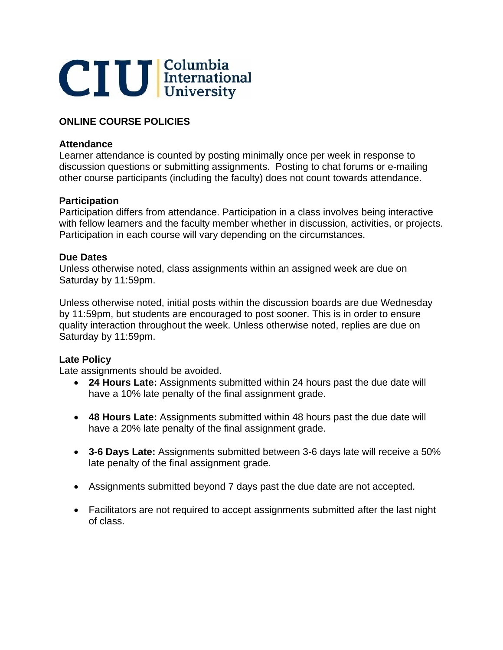

# **ONLINE COURSE POLICIES**

## **Attendance**

Learner attendance is counted by posting minimally once per week in response to discussion questions or submitting assignments. Posting to chat forums or e-mailing other course participants (including the faculty) does not count towards attendance.

#### **Participation**

Participation differs from attendance. Participation in a class involves being interactive with fellow learners and the faculty member whether in discussion, activities, or projects. Participation in each course will vary depending on the circumstances.

#### **Due Dates**

Unless otherwise noted, class assignments within an assigned week are due on Saturday by 11:59pm.

Unless otherwise noted, initial posts within the discussion boards are due Wednesday by 11:59pm, but students are encouraged to post sooner. This is in order to ensure quality interaction throughout the week. Unless otherwise noted, replies are due on Saturday by 11:59pm.

# **Late Policy**

Late assignments should be avoided.

- **24 Hours Late:** Assignments submitted within 24 hours past the due date will have a 10% late penalty of the final assignment grade.
- **48 Hours Late:** Assignments submitted within 48 hours past the due date will have a 20% late penalty of the final assignment grade.
- **3-6 Days Late:** Assignments submitted between 3-6 days late will receive a 50% late penalty of the final assignment grade.
- Assignments submitted beyond 7 days past the due date are not accepted.
- Facilitators are not required to accept assignments submitted after the last night of class.